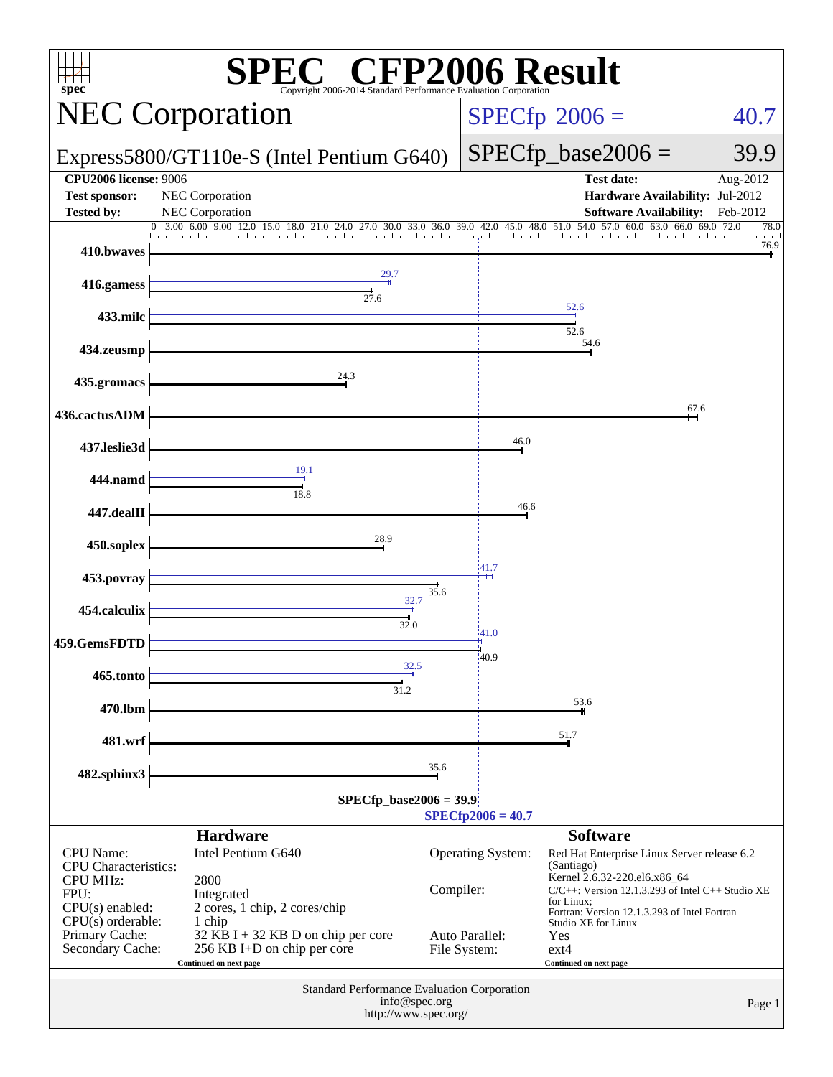| <b>SPEC<sup>®</sup></b> CFP2006 Result<br>spec <sup>®</sup><br>Copyright 2006-2014 Standard Performance Evaluation Corporation |                                                                                                                                       |                                                                                                                                                                                                                                                    |                     |                                                                                       |                      |  |  |
|--------------------------------------------------------------------------------------------------------------------------------|---------------------------------------------------------------------------------------------------------------------------------------|----------------------------------------------------------------------------------------------------------------------------------------------------------------------------------------------------------------------------------------------------|---------------------|---------------------------------------------------------------------------------------|----------------------|--|--|
| <b>NEC Corporation</b>                                                                                                         |                                                                                                                                       |                                                                                                                                                                                                                                                    |                     | $SPECfp^{\circ}2006 =$                                                                | 40.7                 |  |  |
| Express5800/GT110e-S (Intel Pentium G640)                                                                                      |                                                                                                                                       |                                                                                                                                                                                                                                                    |                     | $SPECfp\_base2006 =$                                                                  | 39.9                 |  |  |
| <b>CPU2006</b> license: 9006<br><b>Test sponsor:</b><br><b>Tested by:</b>                                                      | NEC Corporation<br>NEC Corporation                                                                                                    |                                                                                                                                                                                                                                                    |                     | <b>Test date:</b><br>Hardware Availability: Jul-2012<br><b>Software Availability:</b> | Aug-2012<br>Feb-2012 |  |  |
| 410.bwaves                                                                                                                     | $\frac{0}{0}$ 3.00 6.00 9.00 12.0 15.0 18.0 21.0 24.0 27.0 30.0 33.0 36.0 39.0 42.0 45.0 48.0 51.0 54.0 57.0 60.0 63.0 66.0 69.0 72.0 |                                                                                                                                                                                                                                                    |                     |                                                                                       | 78.0<br>76.9         |  |  |
| 416.gamess                                                                                                                     | 29.7<br>27.6                                                                                                                          |                                                                                                                                                                                                                                                    |                     |                                                                                       |                      |  |  |
| 433.milc                                                                                                                       |                                                                                                                                       |                                                                                                                                                                                                                                                    |                     | 52.6<br>52.6                                                                          |                      |  |  |
| 434.zeusmp                                                                                                                     |                                                                                                                                       |                                                                                                                                                                                                                                                    |                     | 54.6                                                                                  |                      |  |  |
| 435.gromacs                                                                                                                    | 24.3                                                                                                                                  |                                                                                                                                                                                                                                                    |                     |                                                                                       |                      |  |  |
| 436.cactusADM                                                                                                                  |                                                                                                                                       |                                                                                                                                                                                                                                                    | 46.0                |                                                                                       | 67.6                 |  |  |
| 437.leslie3d<br>444.namd                                                                                                       | 19.1                                                                                                                                  |                                                                                                                                                                                                                                                    |                     |                                                                                       |                      |  |  |
| 447.dealII                                                                                                                     | 18.8                                                                                                                                  |                                                                                                                                                                                                                                                    | 46.6                |                                                                                       |                      |  |  |
| 450.soplex                                                                                                                     | 28.9                                                                                                                                  |                                                                                                                                                                                                                                                    |                     |                                                                                       |                      |  |  |
| 453.povray                                                                                                                     |                                                                                                                                       |                                                                                                                                                                                                                                                    | 41.7                |                                                                                       |                      |  |  |
| 454.calculix                                                                                                                   | 32.7<br>32.0                                                                                                                          | 35.6                                                                                                                                                                                                                                               |                     |                                                                                       |                      |  |  |
| 459.GemsFDTD                                                                                                                   |                                                                                                                                       |                                                                                                                                                                                                                                                    | 41.0<br>40.9        |                                                                                       |                      |  |  |
| 465.tonto                                                                                                                      | 32.5<br>31.2                                                                                                                          |                                                                                                                                                                                                                                                    |                     |                                                                                       |                      |  |  |
| 470.lbm                                                                                                                        |                                                                                                                                       |                                                                                                                                                                                                                                                    |                     | 53.6                                                                                  |                      |  |  |
| 481.wrf                                                                                                                        |                                                                                                                                       | 35.6                                                                                                                                                                                                                                               |                     | 51.7                                                                                  |                      |  |  |
| 482.sphinx3                                                                                                                    | $SPECfp\_base2006 = 39.9$                                                                                                             |                                                                                                                                                                                                                                                    | $SPECfp2006 = 40.7$ |                                                                                       |                      |  |  |
| <b>CPU</b> Name:                                                                                                               | <b>Hardware</b><br>Intel Pentium G640                                                                                                 |                                                                                                                                                                                                                                                    |                     | <b>Software</b>                                                                       |                      |  |  |
| <b>CPU</b> Characteristics:<br><b>CPU MHz:</b><br>FPU:<br>CPU(s) enabled:                                                      | 2800<br>Integrated<br>2 cores, 1 chip, 2 cores/chip                                                                                   | Operating System:<br>Red Hat Enterprise Linux Server release 6.2<br>(Santiago)<br>Kernel 2.6.32-220.el6.x86_64<br>Compiler:<br>$C/C++$ : Version 12.1.3.293 of Intel $C++$ Studio XE<br>for Linux;<br>Fortran: Version 12.1.3.293 of Intel Fortran |                     |                                                                                       |                      |  |  |
| $CPU(s)$ orderable:<br>Primary Cache:<br>Secondary Cache:                                                                      | 1 chip<br>$32$ KB I + 32 KB D on chip per core<br>256 KB I+D on chip per core<br>Continued on next page                               | Auto Parallel:<br>File System:                                                                                                                                                                                                                     |                     | Studio XE for Linux<br>Yes<br>$ext{4}$<br>Continued on next page                      |                      |  |  |
|                                                                                                                                | Standard Performance Evaluation Corporation<br>info@spec.org<br>http://www.spec.org/                                                  |                                                                                                                                                                                                                                                    |                     |                                                                                       | Page 1               |  |  |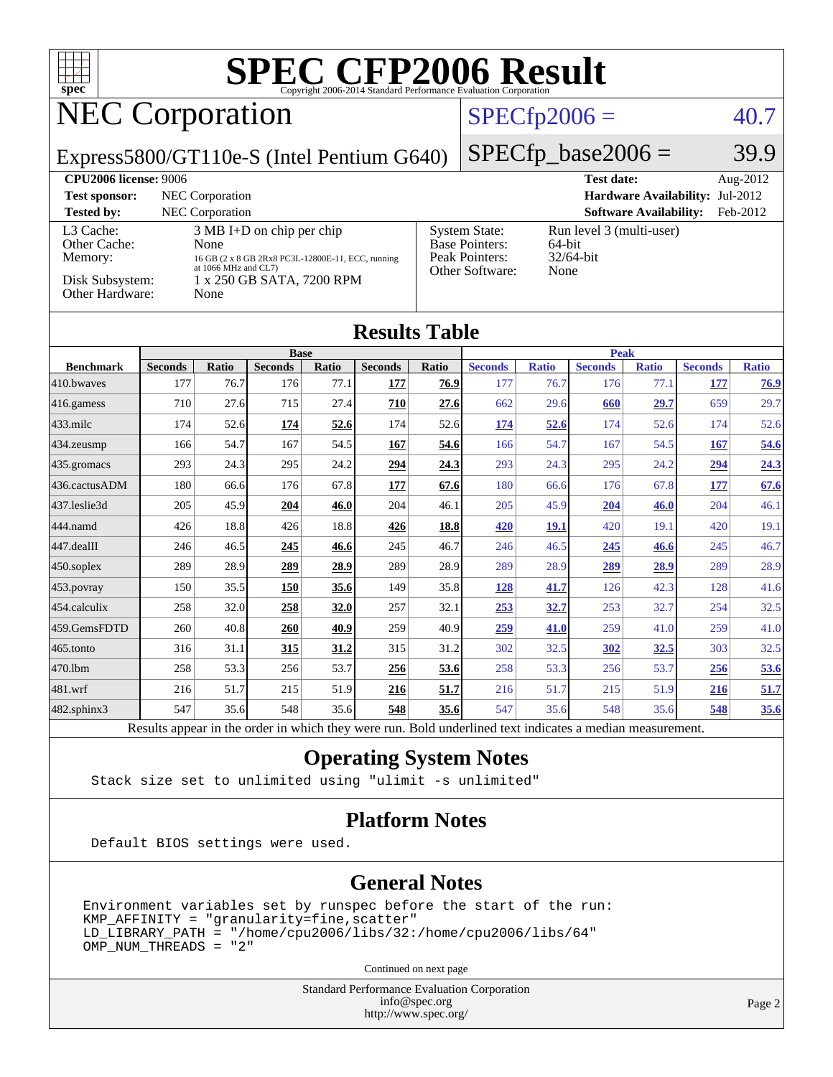

# NEC Corporation

### $SPECfp2006 = 40.7$  $SPECfp2006 = 40.7$

Express5800/GT110e-S (Intel Pentium G640)

 $SPECfp\_base2006 = 39.9$ 

| <b>CPU2006 license: 9006</b>                                               |                                                                                                                                                                            |                                                                                    | <b>Test date:</b><br>Aug-2012                              |  |
|----------------------------------------------------------------------------|----------------------------------------------------------------------------------------------------------------------------------------------------------------------------|------------------------------------------------------------------------------------|------------------------------------------------------------|--|
| <b>Test sponsor:</b>                                                       | NEC Corporation                                                                                                                                                            |                                                                                    | <b>Hardware Availability: Jul-2012</b>                     |  |
| <b>Tested by:</b>                                                          | <b>NEC</b> Corporation                                                                                                                                                     |                                                                                    | <b>Software Availability:</b><br>Feb-2012                  |  |
| L3 Cache:<br>Other Cache:<br>Memory:<br>Disk Subsystem:<br>Other Hardware: | $3 \text{ MB I+D}$ on chip per chip<br>None<br>16 GB (2 x 8 GB 2Rx8 PC3L-12800E-11, ECC, running<br>at $1066 \text{ MHz}$ and $CL7$ )<br>1 x 250 GB SATA, 7200 RPM<br>None | <b>System State:</b><br><b>Base Pointers:</b><br>Peak Pointers:<br>Other Software: | Run level 3 (multi-user)<br>64-bit<br>$32/64$ -bit<br>None |  |

#### **[Results Table](http://www.spec.org/auto/cpu2006/Docs/result-fields.html#ResultsTable)**

|                      |                | <b>Base</b> |                |       |                |       |                | <b>Peak</b>  |                |              |                |              |
|----------------------|----------------|-------------|----------------|-------|----------------|-------|----------------|--------------|----------------|--------------|----------------|--------------|
| <b>Benchmark</b>     | <b>Seconds</b> | Ratio       | <b>Seconds</b> | Ratio | <b>Seconds</b> | Ratio | <b>Seconds</b> | <b>Ratio</b> | <b>Seconds</b> | <b>Ratio</b> | <b>Seconds</b> | <b>Ratio</b> |
| 410.bwayes           | 177            | 76.7        | 176            | 77.1  | 177            | 76.9  | 177            | 76.7         | 176            | 77.1         | 177            | 76.9         |
| $ 416$ .gamess       | 710            | 27.6        | 715            | 27.4  | 710            | 27.6  | 662            | 29.6         | 660            | 29.7         | 659            | 29.7         |
| $ 433 \text{.}$ milc | 174            | 52.6        | 174            | 52.6  | 174            | 52.6  | <u>174</u>     | 52.6         | 174            | 52.6         | 174            | 52.6         |
| $434$ . zeusmp       | 166            | 54.7        | 167            | 54.5  | 167            | 54.6  | 166            | 54.7         | 167            | 54.5         | <b>167</b>     | 54.6         |
| $435$ .gromacs       | 293            | 24.3        | 295            | 24.2  | 294            | 24.3  | 293            | 24.3         | 295            | 24.2         | 294            | 24.3         |
| 436.cactusADM        | 180            | 66.6        | 176            | 67.8  | 177            | 67.6  | 180            | 66.6         | 176            | 67.8         | 177            | 67.6         |
| 437.leslie3d         | 205            | 45.9        | 204            | 46.0  | 204            | 46.1  | 205            | 45.9         | 204            | 46.0         | 204            | 46.1         |
| 444.namd             | 426            | 18.8        | 426            | 18.8  | 426            | 18.8  | 420            | <u>19.1</u>  | 420            | 19.1         | 420            | 19.1         |
| $447$ .dealII        | 246            | 46.5        | 245            | 46.6  | 245            | 46.7  | 246            | 46.5         | 245            | 46.6         | 245            | 46.7         |
| $ 450$ .soplex       | 289            | 28.9        | 289            | 28.9  | 289            | 28.9  | 289            | 28.9         | <u>289</u>     | <u>28.9</u>  | 289            | 28.9         |
| $ 453$ . povray      | 150            | 35.5        | 150            | 35.6  | 149            | 35.8  | <u> 128</u>    | 41.7         | 126            | 42.3         | 128            | 41.6         |
| 454.calculix         | 258            | 32.0        | 258            | 32.0  | 257            | 32.1  | 253            | 32.7         | 253            | 32.7         | 254            | 32.5         |
| 459.GemsFDTD         | 260            | 40.8        | 260            | 40.9  | 259            | 40.9  | 259            | 41.0         | 259            | 41.0         | 259            | 41.0         |
| $465$ .tonto         | 316            | 31.1        | 315            | 31.2  | 315            | 31.2  | 302            | 32.5         | 302            | 32.5         | 303            | 32.5         |
| 470.1bm              | 258            | 53.3        | 256            | 53.7  | 256            | 53.6  | 258            | 53.3         | 256            | 53.7         | 256            | 53.6         |
| 481.wrf              | 216            | 51.7        | 215            | 51.9  | 216            | 51.7  | 216            | 51.7         | 215            | 51.9         | 216            | 51.7         |
| 482.sphinx3          | 547            | 35.6        | 548            | 35.6  | 548            | 35.6  | 547            | 35.6         | 548            | 35.6         | 548            | 35.6         |
|                      |                |             |                |       |                |       |                |              |                |              |                |              |

Results appear in the [order in which they were run.](http://www.spec.org/auto/cpu2006/Docs/result-fields.html#RunOrder) Bold underlined text [indicates a median measurement.](http://www.spec.org/auto/cpu2006/Docs/result-fields.html#Median)

#### **[Operating System Notes](http://www.spec.org/auto/cpu2006/Docs/result-fields.html#OperatingSystemNotes)**

Stack size set to unlimited using "ulimit -s unlimited"

#### **[Platform Notes](http://www.spec.org/auto/cpu2006/Docs/result-fields.html#PlatformNotes)**

Default BIOS settings were used.

#### **[General Notes](http://www.spec.org/auto/cpu2006/Docs/result-fields.html#GeneralNotes)**

Environment variables set by runspec before the start of the run: KMP\_AFFINITY = "granularity=fine,scatter" LD\_LIBRARY\_PATH = "/home/cpu2006/libs/32:/home/cpu2006/libs/64" OMP\_NUM\_THREADS = "2"

Continued on next page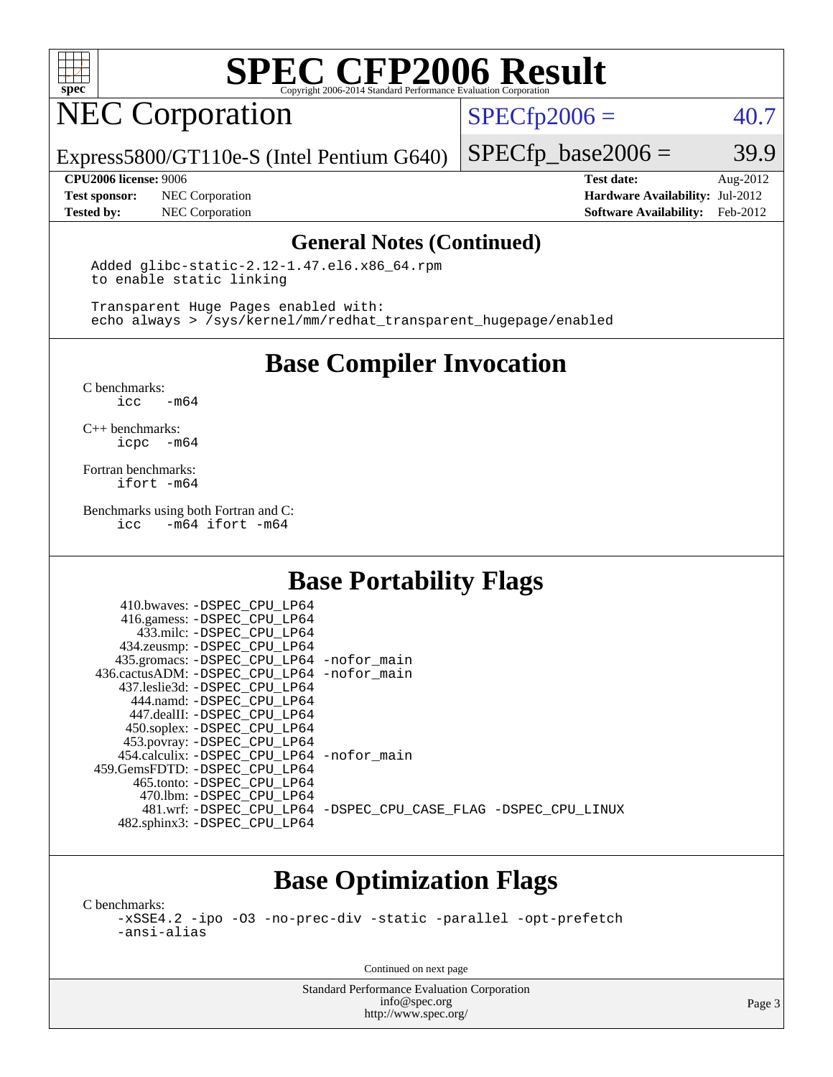

# NEC Corporation

 $SPECTp2006 = 40.7$ 

Express5800/GT110e-S (Intel Pentium G640)

**[Test sponsor:](http://www.spec.org/auto/cpu2006/Docs/result-fields.html#Testsponsor)** NEC Corporation **[Hardware Availability:](http://www.spec.org/auto/cpu2006/Docs/result-fields.html#HardwareAvailability)** Jul-2012 **[Tested by:](http://www.spec.org/auto/cpu2006/Docs/result-fields.html#Testedby)** NEC Corporation **[Software Availability:](http://www.spec.org/auto/cpu2006/Docs/result-fields.html#SoftwareAvailability)** Feb-2012

**[CPU2006 license:](http://www.spec.org/auto/cpu2006/Docs/result-fields.html#CPU2006license)** 9006 **[Test date:](http://www.spec.org/auto/cpu2006/Docs/result-fields.html#Testdate)** Aug-2012

 $SPECTp\_base2006 = 39.9$ 

#### **[General Notes \(Continued\)](http://www.spec.org/auto/cpu2006/Docs/result-fields.html#GeneralNotes)**

 Added glibc-static-2.12-1.47.el6.x86\_64.rpm to enable static linking

 Transparent Huge Pages enabled with: echo always > /sys/kernel/mm/redhat\_transparent\_hugepage/enabled

**[Base Compiler Invocation](http://www.spec.org/auto/cpu2006/Docs/result-fields.html#BaseCompilerInvocation)**

[C benchmarks](http://www.spec.org/auto/cpu2006/Docs/result-fields.html#Cbenchmarks):  $-m64$ 

[C++ benchmarks:](http://www.spec.org/auto/cpu2006/Docs/result-fields.html#CXXbenchmarks) [icpc -m64](http://www.spec.org/cpu2006/results/res2012q3/cpu2006-20120802-24037.flags.html#user_CXXbase_intel_icpc_64bit_bedb90c1146cab66620883ef4f41a67e)

[Fortran benchmarks](http://www.spec.org/auto/cpu2006/Docs/result-fields.html#Fortranbenchmarks): [ifort -m64](http://www.spec.org/cpu2006/results/res2012q3/cpu2006-20120802-24037.flags.html#user_FCbase_intel_ifort_64bit_ee9d0fb25645d0210d97eb0527dcc06e)

[Benchmarks using both Fortran and C](http://www.spec.org/auto/cpu2006/Docs/result-fields.html#BenchmarksusingbothFortranandC): [icc -m64](http://www.spec.org/cpu2006/results/res2012q3/cpu2006-20120802-24037.flags.html#user_CC_FCbase_intel_icc_64bit_0b7121f5ab7cfabee23d88897260401c) [ifort -m64](http://www.spec.org/cpu2006/results/res2012q3/cpu2006-20120802-24037.flags.html#user_CC_FCbase_intel_ifort_64bit_ee9d0fb25645d0210d97eb0527dcc06e)

### **[Base Portability Flags](http://www.spec.org/auto/cpu2006/Docs/result-fields.html#BasePortabilityFlags)**

| 410.bwaves: -DSPEC CPU LP64                 |                                                                |
|---------------------------------------------|----------------------------------------------------------------|
| 416.gamess: -DSPEC_CPU_LP64                 |                                                                |
| 433.milc: -DSPEC CPU LP64                   |                                                                |
| 434.zeusmp: -DSPEC_CPU_LP64                 |                                                                |
| 435.gromacs: -DSPEC_CPU_LP64 -nofor_main    |                                                                |
| 436.cactusADM: -DSPEC CPU LP64 -nofor main  |                                                                |
| 437.leslie3d: -DSPEC CPU LP64               |                                                                |
| 444.namd: -DSPEC CPU LP64                   |                                                                |
| 447.dealII: -DSPEC CPU LP64                 |                                                                |
| 450.soplex: -DSPEC_CPU_LP64                 |                                                                |
| 453.povray: -DSPEC_CPU_LP64                 |                                                                |
| 454.calculix: - DSPEC CPU LP64 - nofor main |                                                                |
| 459.GemsFDTD: -DSPEC CPU LP64               |                                                                |
| 465.tonto: - DSPEC_CPU LP64                 |                                                                |
| 470.1bm: - DSPEC CPU LP64                   |                                                                |
|                                             | 481.wrf: -DSPEC CPU_LP64 -DSPEC_CPU_CASE_FLAG -DSPEC_CPU_LINUX |
| 482.sphinx3: -DSPEC_CPU_LP64                |                                                                |

### **[Base Optimization Flags](http://www.spec.org/auto/cpu2006/Docs/result-fields.html#BaseOptimizationFlags)**

[C benchmarks](http://www.spec.org/auto/cpu2006/Docs/result-fields.html#Cbenchmarks):

[-xSSE4.2](http://www.spec.org/cpu2006/results/res2012q3/cpu2006-20120802-24037.flags.html#user_CCbase_f-xSSE42_f91528193cf0b216347adb8b939d4107) [-ipo](http://www.spec.org/cpu2006/results/res2012q3/cpu2006-20120802-24037.flags.html#user_CCbase_f-ipo) [-O3](http://www.spec.org/cpu2006/results/res2012q3/cpu2006-20120802-24037.flags.html#user_CCbase_f-O3) [-no-prec-div](http://www.spec.org/cpu2006/results/res2012q3/cpu2006-20120802-24037.flags.html#user_CCbase_f-no-prec-div) [-static](http://www.spec.org/cpu2006/results/res2012q3/cpu2006-20120802-24037.flags.html#user_CCbase_f-static) [-parallel](http://www.spec.org/cpu2006/results/res2012q3/cpu2006-20120802-24037.flags.html#user_CCbase_f-parallel) [-opt-prefetch](http://www.spec.org/cpu2006/results/res2012q3/cpu2006-20120802-24037.flags.html#user_CCbase_f-opt-prefetch) [-ansi-alias](http://www.spec.org/cpu2006/results/res2012q3/cpu2006-20120802-24037.flags.html#user_CCbase_f-ansi-alias)

Continued on next page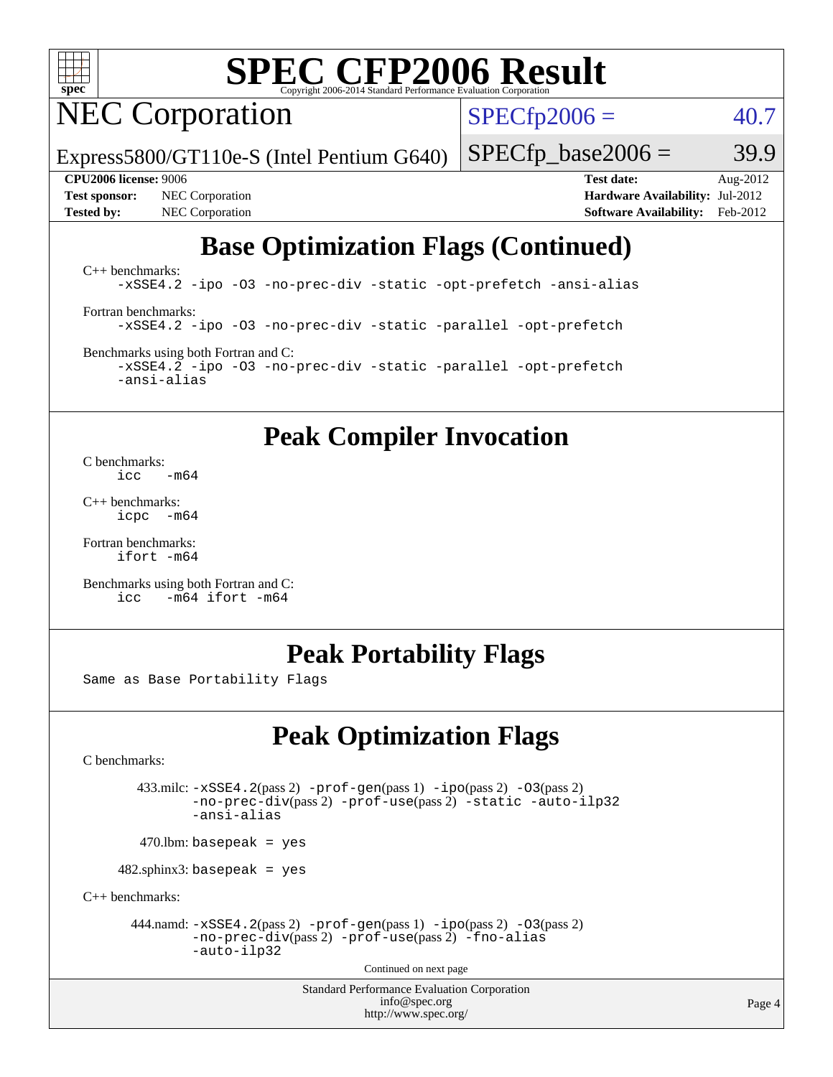

NEC Corporation

 $SPECfp2006 = 40.7$  $SPECfp2006 = 40.7$ 

Express5800/GT110e-S (Intel Pentium G640)

**[Tested by:](http://www.spec.org/auto/cpu2006/Docs/result-fields.html#Testedby)** NEC Corporation **[Software Availability:](http://www.spec.org/auto/cpu2006/Docs/result-fields.html#SoftwareAvailability)** Feb-2012

 $SPECTp\_base2006 = 39.9$ **[CPU2006 license:](http://www.spec.org/auto/cpu2006/Docs/result-fields.html#CPU2006license)** 9006 **[Test date:](http://www.spec.org/auto/cpu2006/Docs/result-fields.html#Testdate)** Aug-2012 **[Test sponsor:](http://www.spec.org/auto/cpu2006/Docs/result-fields.html#Testsponsor)** NEC Corporation **[Hardware Availability:](http://www.spec.org/auto/cpu2006/Docs/result-fields.html#HardwareAvailability)** Jul-2012

### **[Base Optimization Flags \(Continued\)](http://www.spec.org/auto/cpu2006/Docs/result-fields.html#BaseOptimizationFlags)**

[C++ benchmarks:](http://www.spec.org/auto/cpu2006/Docs/result-fields.html#CXXbenchmarks) [-xSSE4.2](http://www.spec.org/cpu2006/results/res2012q3/cpu2006-20120802-24037.flags.html#user_CXXbase_f-xSSE42_f91528193cf0b216347adb8b939d4107) [-ipo](http://www.spec.org/cpu2006/results/res2012q3/cpu2006-20120802-24037.flags.html#user_CXXbase_f-ipo) [-O3](http://www.spec.org/cpu2006/results/res2012q3/cpu2006-20120802-24037.flags.html#user_CXXbase_f-O3) [-no-prec-div](http://www.spec.org/cpu2006/results/res2012q3/cpu2006-20120802-24037.flags.html#user_CXXbase_f-no-prec-div) [-static](http://www.spec.org/cpu2006/results/res2012q3/cpu2006-20120802-24037.flags.html#user_CXXbase_f-static) [-opt-prefetch](http://www.spec.org/cpu2006/results/res2012q3/cpu2006-20120802-24037.flags.html#user_CXXbase_f-opt-prefetch) [-ansi-alias](http://www.spec.org/cpu2006/results/res2012q3/cpu2006-20120802-24037.flags.html#user_CXXbase_f-ansi-alias) [Fortran benchmarks](http://www.spec.org/auto/cpu2006/Docs/result-fields.html#Fortranbenchmarks): [-xSSE4.2](http://www.spec.org/cpu2006/results/res2012q3/cpu2006-20120802-24037.flags.html#user_FCbase_f-xSSE42_f91528193cf0b216347adb8b939d4107) [-ipo](http://www.spec.org/cpu2006/results/res2012q3/cpu2006-20120802-24037.flags.html#user_FCbase_f-ipo) [-O3](http://www.spec.org/cpu2006/results/res2012q3/cpu2006-20120802-24037.flags.html#user_FCbase_f-O3) [-no-prec-div](http://www.spec.org/cpu2006/results/res2012q3/cpu2006-20120802-24037.flags.html#user_FCbase_f-no-prec-div) [-static](http://www.spec.org/cpu2006/results/res2012q3/cpu2006-20120802-24037.flags.html#user_FCbase_f-static) [-parallel](http://www.spec.org/cpu2006/results/res2012q3/cpu2006-20120802-24037.flags.html#user_FCbase_f-parallel) [-opt-prefetch](http://www.spec.org/cpu2006/results/res2012q3/cpu2006-20120802-24037.flags.html#user_FCbase_f-opt-prefetch) [Benchmarks using both Fortran and C](http://www.spec.org/auto/cpu2006/Docs/result-fields.html#BenchmarksusingbothFortranandC):

[-xSSE4.2](http://www.spec.org/cpu2006/results/res2012q3/cpu2006-20120802-24037.flags.html#user_CC_FCbase_f-xSSE42_f91528193cf0b216347adb8b939d4107) [-ipo](http://www.spec.org/cpu2006/results/res2012q3/cpu2006-20120802-24037.flags.html#user_CC_FCbase_f-ipo) [-O3](http://www.spec.org/cpu2006/results/res2012q3/cpu2006-20120802-24037.flags.html#user_CC_FCbase_f-O3) [-no-prec-div](http://www.spec.org/cpu2006/results/res2012q3/cpu2006-20120802-24037.flags.html#user_CC_FCbase_f-no-prec-div) [-static](http://www.spec.org/cpu2006/results/res2012q3/cpu2006-20120802-24037.flags.html#user_CC_FCbase_f-static) [-parallel](http://www.spec.org/cpu2006/results/res2012q3/cpu2006-20120802-24037.flags.html#user_CC_FCbase_f-parallel) [-opt-prefetch](http://www.spec.org/cpu2006/results/res2012q3/cpu2006-20120802-24037.flags.html#user_CC_FCbase_f-opt-prefetch) [-ansi-alias](http://www.spec.org/cpu2006/results/res2012q3/cpu2006-20120802-24037.flags.html#user_CC_FCbase_f-ansi-alias)

**[Peak Compiler Invocation](http://www.spec.org/auto/cpu2006/Docs/result-fields.html#PeakCompilerInvocation)**

[C benchmarks](http://www.spec.org/auto/cpu2006/Docs/result-fields.html#Cbenchmarks):  $\frac{1}{2}$ cc  $-\text{m64}$ 

[C++ benchmarks:](http://www.spec.org/auto/cpu2006/Docs/result-fields.html#CXXbenchmarks) [icpc -m64](http://www.spec.org/cpu2006/results/res2012q3/cpu2006-20120802-24037.flags.html#user_CXXpeak_intel_icpc_64bit_bedb90c1146cab66620883ef4f41a67e)

[Fortran benchmarks](http://www.spec.org/auto/cpu2006/Docs/result-fields.html#Fortranbenchmarks): [ifort -m64](http://www.spec.org/cpu2006/results/res2012q3/cpu2006-20120802-24037.flags.html#user_FCpeak_intel_ifort_64bit_ee9d0fb25645d0210d97eb0527dcc06e)

[Benchmarks using both Fortran and C](http://www.spec.org/auto/cpu2006/Docs/result-fields.html#BenchmarksusingbothFortranandC): [icc -m64](http://www.spec.org/cpu2006/results/res2012q3/cpu2006-20120802-24037.flags.html#user_CC_FCpeak_intel_icc_64bit_0b7121f5ab7cfabee23d88897260401c) [ifort -m64](http://www.spec.org/cpu2006/results/res2012q3/cpu2006-20120802-24037.flags.html#user_CC_FCpeak_intel_ifort_64bit_ee9d0fb25645d0210d97eb0527dcc06e)

### **[Peak Portability Flags](http://www.spec.org/auto/cpu2006/Docs/result-fields.html#PeakPortabilityFlags)**

Same as Base Portability Flags

### **[Peak Optimization Flags](http://www.spec.org/auto/cpu2006/Docs/result-fields.html#PeakOptimizationFlags)**

[C benchmarks](http://www.spec.org/auto/cpu2006/Docs/result-fields.html#Cbenchmarks):

433.milc:  $-xSSE4$ . 2(pass 2)  $-prof-gen(pass 1) -ipo(pass 2) -O3(pass 2)$  $-prof-gen(pass 1) -ipo(pass 2) -O3(pass 2)$  $-prof-gen(pass 1) -ipo(pass 2) -O3(pass 2)$  $-prof-gen(pass 1) -ipo(pass 2) -O3(pass 2)$  $-prof-gen(pass 1) -ipo(pass 2) -O3(pass 2)$  $-prof-gen(pass 1) -ipo(pass 2) -O3(pass 2)$ [-no-prec-div](http://www.spec.org/cpu2006/results/res2012q3/cpu2006-20120802-24037.flags.html#user_peakPASS2_CFLAGSPASS2_LDFLAGS433_milc_f-no-prec-div)(pass 2) [-prof-use](http://www.spec.org/cpu2006/results/res2012q3/cpu2006-20120802-24037.flags.html#user_peakPASS2_CFLAGSPASS2_LDFLAGS433_milc_prof_use_bccf7792157ff70d64e32fe3e1250b55)(pass 2) [-static](http://www.spec.org/cpu2006/results/res2012q3/cpu2006-20120802-24037.flags.html#user_peakOPTIMIZE433_milc_f-static) [-auto-ilp32](http://www.spec.org/cpu2006/results/res2012q3/cpu2006-20120802-24037.flags.html#user_peakCOPTIMIZE433_milc_f-auto-ilp32) [-ansi-alias](http://www.spec.org/cpu2006/results/res2012q3/cpu2006-20120802-24037.flags.html#user_peakCOPTIMIZE433_milc_f-ansi-alias)

 $470.$ lbm: basepeak = yes

482.sphinx3: basepeak = yes

[C++ benchmarks:](http://www.spec.org/auto/cpu2006/Docs/result-fields.html#CXXbenchmarks)

444.namd:  $-xSSE4$ . 2(pass 2)  $-prof-gen(pass 1) -ipo(pass 2) -O3(pass 2)$  $-prof-gen(pass 1) -ipo(pass 2) -O3(pass 2)$  $-prof-gen(pass 1) -ipo(pass 2) -O3(pass 2)$  $-prof-gen(pass 1) -ipo(pass 2) -O3(pass 2)$  $-prof-gen(pass 1) -ipo(pass 2) -O3(pass 2)$  $-prof-gen(pass 1) -ipo(pass 2) -O3(pass 2)$ [-no-prec-div](http://www.spec.org/cpu2006/results/res2012q3/cpu2006-20120802-24037.flags.html#user_peakPASS2_CXXFLAGSPASS2_LDFLAGS444_namd_f-no-prec-div)(pass 2) [-prof-use](http://www.spec.org/cpu2006/results/res2012q3/cpu2006-20120802-24037.flags.html#user_peakPASS2_CXXFLAGSPASS2_LDFLAGS444_namd_prof_use_bccf7792157ff70d64e32fe3e1250b55)(pass 2) [-fno-alias](http://www.spec.org/cpu2006/results/res2012q3/cpu2006-20120802-24037.flags.html#user_peakCXXOPTIMIZEOPTIMIZE444_namd_f-no-alias_694e77f6c5a51e658e82ccff53a9e63a) [-auto-ilp32](http://www.spec.org/cpu2006/results/res2012q3/cpu2006-20120802-24037.flags.html#user_peakCXXOPTIMIZE444_namd_f-auto-ilp32)

Continued on next page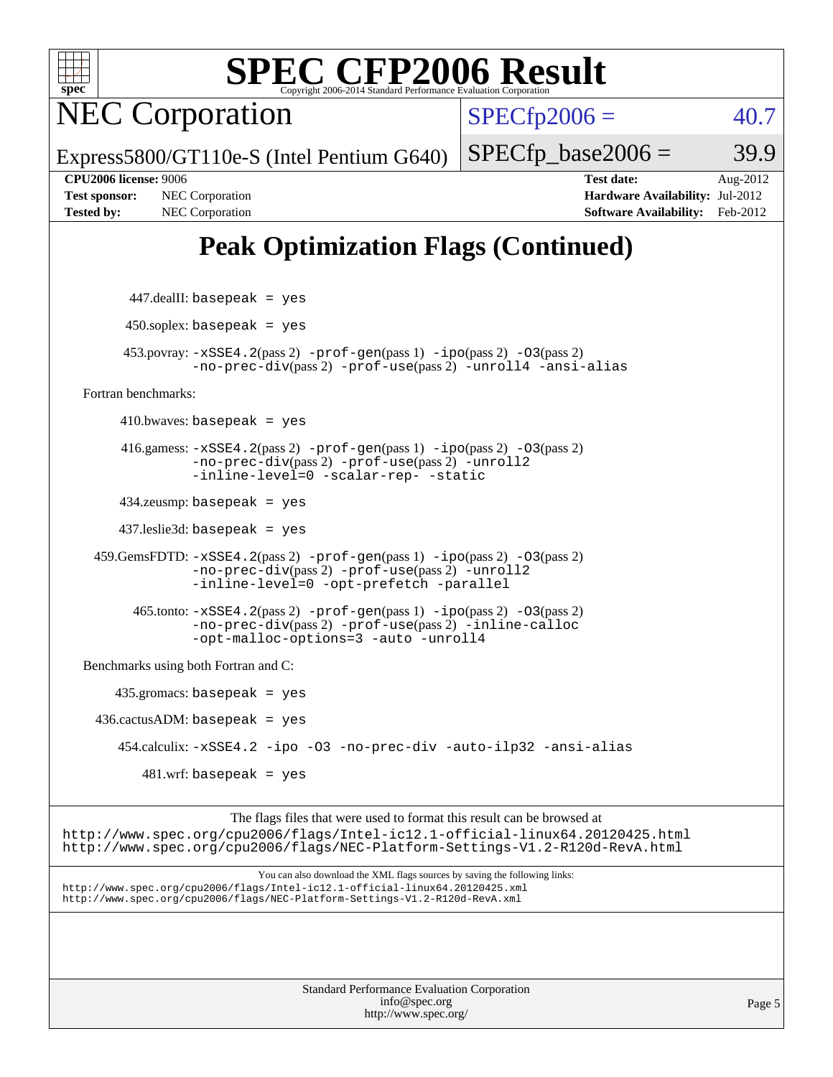

NEC Corporation

 $SPECfp2006 = 40.7$  $SPECfp2006 = 40.7$ 

Express5800/GT110e-S (Intel Pentium G640)

#### $SPECTp\_base2006 = 39.9$

**[Tested by:](http://www.spec.org/auto/cpu2006/Docs/result-fields.html#Testedby)** NEC Corporation **[Software Availability:](http://www.spec.org/auto/cpu2006/Docs/result-fields.html#SoftwareAvailability)** Feb-2012

**[CPU2006 license:](http://www.spec.org/auto/cpu2006/Docs/result-fields.html#CPU2006license)** 9006 **[Test date:](http://www.spec.org/auto/cpu2006/Docs/result-fields.html#Testdate)** Aug-2012 **[Test sponsor:](http://www.spec.org/auto/cpu2006/Docs/result-fields.html#Testsponsor)** NEC Corporation **[Hardware Availability:](http://www.spec.org/auto/cpu2006/Docs/result-fields.html#HardwareAvailability)** Jul-2012

## **[Peak Optimization Flags \(Continued\)](http://www.spec.org/auto/cpu2006/Docs/result-fields.html#PeakOptimizationFlags)**

 447.dealII: basepeak = yes  $450$ .soplex: basepeak = yes 453.povray: [-xSSE4.2](http://www.spec.org/cpu2006/results/res2012q3/cpu2006-20120802-24037.flags.html#user_peakPASS2_CXXFLAGSPASS2_LDFLAGS453_povray_f-xSSE42_f91528193cf0b216347adb8b939d4107)(pass 2) [-prof-gen](http://www.spec.org/cpu2006/results/res2012q3/cpu2006-20120802-24037.flags.html#user_peakPASS1_CXXFLAGSPASS1_LDFLAGS453_povray_prof_gen_e43856698f6ca7b7e442dfd80e94a8fc)(pass 1) [-ipo](http://www.spec.org/cpu2006/results/res2012q3/cpu2006-20120802-24037.flags.html#user_peakPASS2_CXXFLAGSPASS2_LDFLAGS453_povray_f-ipo)(pass 2) [-O3](http://www.spec.org/cpu2006/results/res2012q3/cpu2006-20120802-24037.flags.html#user_peakPASS2_CXXFLAGSPASS2_LDFLAGS453_povray_f-O3)(pass 2) [-no-prec-div](http://www.spec.org/cpu2006/results/res2012q3/cpu2006-20120802-24037.flags.html#user_peakPASS2_CXXFLAGSPASS2_LDFLAGS453_povray_f-no-prec-div)(pass 2) [-prof-use](http://www.spec.org/cpu2006/results/res2012q3/cpu2006-20120802-24037.flags.html#user_peakPASS2_CXXFLAGSPASS2_LDFLAGS453_povray_prof_use_bccf7792157ff70d64e32fe3e1250b55)(pass 2) [-unroll4](http://www.spec.org/cpu2006/results/res2012q3/cpu2006-20120802-24037.flags.html#user_peakCXXOPTIMIZE453_povray_f-unroll_4e5e4ed65b7fd20bdcd365bec371b81f) [-ansi-alias](http://www.spec.org/cpu2006/results/res2012q3/cpu2006-20120802-24037.flags.html#user_peakCXXOPTIMIZE453_povray_f-ansi-alias) [Fortran benchmarks](http://www.spec.org/auto/cpu2006/Docs/result-fields.html#Fortranbenchmarks):  $410.bwaves: basepeak = yes$  416.gamess: [-xSSE4.2](http://www.spec.org/cpu2006/results/res2012q3/cpu2006-20120802-24037.flags.html#user_peakPASS2_FFLAGSPASS2_LDFLAGS416_gamess_f-xSSE42_f91528193cf0b216347adb8b939d4107)(pass 2) [-prof-gen](http://www.spec.org/cpu2006/results/res2012q3/cpu2006-20120802-24037.flags.html#user_peakPASS1_FFLAGSPASS1_LDFLAGS416_gamess_prof_gen_e43856698f6ca7b7e442dfd80e94a8fc)(pass 1) [-ipo](http://www.spec.org/cpu2006/results/res2012q3/cpu2006-20120802-24037.flags.html#user_peakPASS2_FFLAGSPASS2_LDFLAGS416_gamess_f-ipo)(pass 2) [-O3](http://www.spec.org/cpu2006/results/res2012q3/cpu2006-20120802-24037.flags.html#user_peakPASS2_FFLAGSPASS2_LDFLAGS416_gamess_f-O3)(pass 2) [-no-prec-div](http://www.spec.org/cpu2006/results/res2012q3/cpu2006-20120802-24037.flags.html#user_peakPASS2_FFLAGSPASS2_LDFLAGS416_gamess_f-no-prec-div)(pass 2) [-prof-use](http://www.spec.org/cpu2006/results/res2012q3/cpu2006-20120802-24037.flags.html#user_peakPASS2_FFLAGSPASS2_LDFLAGS416_gamess_prof_use_bccf7792157ff70d64e32fe3e1250b55)(pass 2) [-unroll2](http://www.spec.org/cpu2006/results/res2012q3/cpu2006-20120802-24037.flags.html#user_peakOPTIMIZE416_gamess_f-unroll_784dae83bebfb236979b41d2422d7ec2) [-inline-level=0](http://www.spec.org/cpu2006/results/res2012q3/cpu2006-20120802-24037.flags.html#user_peakOPTIMIZE416_gamess_f-inline-level_318d07a09274ad25e8d15dbfaa68ba50) [-scalar-rep-](http://www.spec.org/cpu2006/results/res2012q3/cpu2006-20120802-24037.flags.html#user_peakOPTIMIZE416_gamess_f-disablescalarrep_abbcad04450fb118e4809c81d83c8a1d) [-static](http://www.spec.org/cpu2006/results/res2012q3/cpu2006-20120802-24037.flags.html#user_peakOPTIMIZE416_gamess_f-static) 434.zeusmp: basepeak = yes 437.leslie3d: basepeak = yes  $459$ .GemsFDTD:  $-xSSE4$ .  $2(pass 2)$  -prof-qen(pass 1) [-ipo](http://www.spec.org/cpu2006/results/res2012q3/cpu2006-20120802-24037.flags.html#user_peakPASS2_FFLAGSPASS2_LDFLAGS459_GemsFDTD_f-ipo)(pass 2) -03(pass 2) [-no-prec-div](http://www.spec.org/cpu2006/results/res2012q3/cpu2006-20120802-24037.flags.html#user_peakPASS2_FFLAGSPASS2_LDFLAGS459_GemsFDTD_f-no-prec-div)(pass 2) [-prof-use](http://www.spec.org/cpu2006/results/res2012q3/cpu2006-20120802-24037.flags.html#user_peakPASS2_FFLAGSPASS2_LDFLAGS459_GemsFDTD_prof_use_bccf7792157ff70d64e32fe3e1250b55)(pass 2) [-unroll2](http://www.spec.org/cpu2006/results/res2012q3/cpu2006-20120802-24037.flags.html#user_peakOPTIMIZE459_GemsFDTD_f-unroll_784dae83bebfb236979b41d2422d7ec2) [-inline-level=0](http://www.spec.org/cpu2006/results/res2012q3/cpu2006-20120802-24037.flags.html#user_peakOPTIMIZE459_GemsFDTD_f-inline-level_318d07a09274ad25e8d15dbfaa68ba50) [-opt-prefetch](http://www.spec.org/cpu2006/results/res2012q3/cpu2006-20120802-24037.flags.html#user_peakOPTIMIZE459_GemsFDTD_f-opt-prefetch) [-parallel](http://www.spec.org/cpu2006/results/res2012q3/cpu2006-20120802-24037.flags.html#user_peakOPTIMIZE459_GemsFDTD_f-parallel) 465.tonto: [-xSSE4.2](http://www.spec.org/cpu2006/results/res2012q3/cpu2006-20120802-24037.flags.html#user_peakPASS2_FFLAGSPASS2_LDFLAGS465_tonto_f-xSSE42_f91528193cf0b216347adb8b939d4107)(pass 2) [-prof-gen](http://www.spec.org/cpu2006/results/res2012q3/cpu2006-20120802-24037.flags.html#user_peakPASS1_FFLAGSPASS1_LDFLAGS465_tonto_prof_gen_e43856698f6ca7b7e442dfd80e94a8fc)(pass 1) [-ipo](http://www.spec.org/cpu2006/results/res2012q3/cpu2006-20120802-24037.flags.html#user_peakPASS2_FFLAGSPASS2_LDFLAGS465_tonto_f-ipo)(pass 2) [-O3](http://www.spec.org/cpu2006/results/res2012q3/cpu2006-20120802-24037.flags.html#user_peakPASS2_FFLAGSPASS2_LDFLAGS465_tonto_f-O3)(pass 2) [-no-prec-div](http://www.spec.org/cpu2006/results/res2012q3/cpu2006-20120802-24037.flags.html#user_peakPASS2_FFLAGSPASS2_LDFLAGS465_tonto_f-no-prec-div)(pass 2) [-prof-use](http://www.spec.org/cpu2006/results/res2012q3/cpu2006-20120802-24037.flags.html#user_peakPASS2_FFLAGSPASS2_LDFLAGS465_tonto_prof_use_bccf7792157ff70d64e32fe3e1250b55)(pass 2) [-inline-calloc](http://www.spec.org/cpu2006/results/res2012q3/cpu2006-20120802-24037.flags.html#user_peakOPTIMIZE465_tonto_f-inline-calloc) [-opt-malloc-options=3](http://www.spec.org/cpu2006/results/res2012q3/cpu2006-20120802-24037.flags.html#user_peakOPTIMIZE465_tonto_f-opt-malloc-options_13ab9b803cf986b4ee62f0a5998c2238) [-auto](http://www.spec.org/cpu2006/results/res2012q3/cpu2006-20120802-24037.flags.html#user_peakOPTIMIZE465_tonto_f-auto) [-unroll4](http://www.spec.org/cpu2006/results/res2012q3/cpu2006-20120802-24037.flags.html#user_peakOPTIMIZE465_tonto_f-unroll_4e5e4ed65b7fd20bdcd365bec371b81f) [Benchmarks using both Fortran and C](http://www.spec.org/auto/cpu2006/Docs/result-fields.html#BenchmarksusingbothFortranandC): 435.gromacs: basepeak = yes  $436.cactusADM: basepeak = yes$  454.calculix: [-xSSE4.2](http://www.spec.org/cpu2006/results/res2012q3/cpu2006-20120802-24037.flags.html#user_peakOPTIMIZE454_calculix_f-xSSE42_f91528193cf0b216347adb8b939d4107) [-ipo](http://www.spec.org/cpu2006/results/res2012q3/cpu2006-20120802-24037.flags.html#user_peakOPTIMIZE454_calculix_f-ipo) [-O3](http://www.spec.org/cpu2006/results/res2012q3/cpu2006-20120802-24037.flags.html#user_peakOPTIMIZE454_calculix_f-O3) [-no-prec-div](http://www.spec.org/cpu2006/results/res2012q3/cpu2006-20120802-24037.flags.html#user_peakOPTIMIZE454_calculix_f-no-prec-div) [-auto-ilp32](http://www.spec.org/cpu2006/results/res2012q3/cpu2006-20120802-24037.flags.html#user_peakCOPTIMIZE454_calculix_f-auto-ilp32) [-ansi-alias](http://www.spec.org/cpu2006/results/res2012q3/cpu2006-20120802-24037.flags.html#user_peakCOPTIMIZE454_calculix_f-ansi-alias)  $481$ .wrf: basepeak = yes The flags files that were used to format this result can be browsed at <http://www.spec.org/cpu2006/flags/Intel-ic12.1-official-linux64.20120425.html> <http://www.spec.org/cpu2006/flags/NEC-Platform-Settings-V1.2-R120d-RevA.html> You can also download the XML flags sources by saving the following links: <http://www.spec.org/cpu2006/flags/Intel-ic12.1-official-linux64.20120425.xml> <http://www.spec.org/cpu2006/flags/NEC-Platform-Settings-V1.2-R120d-RevA.xml>